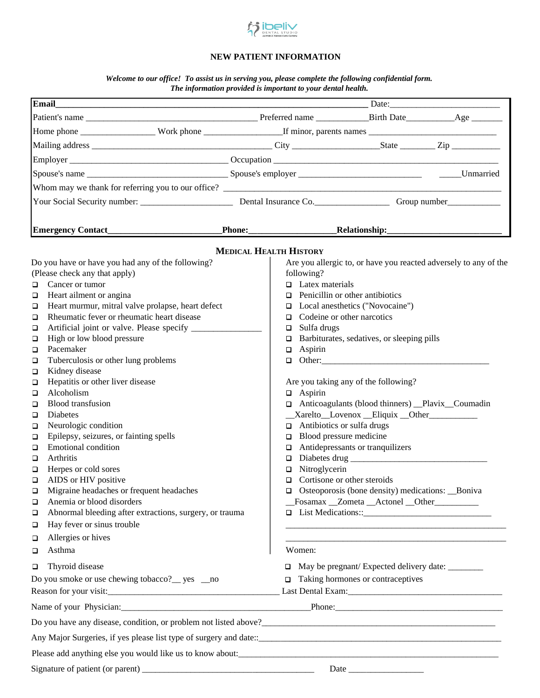

#### **NEW PATIENT INFORMATION**

*Welcome to our office! To assist us in serving you, please complete the following confidential form. The information provided is important to your dental health.*

| <b>Email</b>                                                                                                                                                                                                                   |  |                                                          |                                                                  |  |
|--------------------------------------------------------------------------------------------------------------------------------------------------------------------------------------------------------------------------------|--|----------------------------------------------------------|------------------------------------------------------------------|--|
|                                                                                                                                                                                                                                |  |                                                          |                                                                  |  |
|                                                                                                                                                                                                                                |  |                                                          |                                                                  |  |
|                                                                                                                                                                                                                                |  |                                                          |                                                                  |  |
|                                                                                                                                                                                                                                |  |                                                          |                                                                  |  |
|                                                                                                                                                                                                                                |  |                                                          |                                                                  |  |
|                                                                                                                                                                                                                                |  |                                                          |                                                                  |  |
|                                                                                                                                                                                                                                |  |                                                          |                                                                  |  |
|                                                                                                                                                                                                                                |  |                                                          |                                                                  |  |
|                                                                                                                                                                                                                                |  |                                                          |                                                                  |  |
|                                                                                                                                                                                                                                |  |                                                          | _Relationship:______________                                     |  |
|                                                                                                                                                                                                                                |  | <b>MEDICAL HEALTH HISTORY</b>                            |                                                                  |  |
| Do you have or have you had any of the following?                                                                                                                                                                              |  |                                                          | Are you allergic to, or have you reacted adversely to any of the |  |
| (Please check any that apply)                                                                                                                                                                                                  |  | following?                                               |                                                                  |  |
| Cancer or tumor<br>$\Box$                                                                                                                                                                                                      |  | $\Box$ Latex materials                                   |                                                                  |  |
| Heart ailment or angina<br>□                                                                                                                                                                                                   |  |                                                          | $\Box$ Penicillin or other antibiotics                           |  |
| Heart murmur, mitral valve prolapse, heart defect<br>□                                                                                                                                                                         |  | □ Local anesthetics ("Novocaine")                        |                                                                  |  |
| Rheumatic fever or rheumatic heart disease<br>□                                                                                                                                                                                |  | Codeine or other narcotics<br>$\Box$                     |                                                                  |  |
| □                                                                                                                                                                                                                              |  | Sulfa drugs<br>$\Box$                                    |                                                                  |  |
| High or low blood pressure<br>□                                                                                                                                                                                                |  | Barbiturates, sedatives, or sleeping pills<br>□          |                                                                  |  |
| Pacemaker<br>□                                                                                                                                                                                                                 |  | Aspirin<br>$\Box$<br>$\Box$ Other:                       |                                                                  |  |
| Tuberculosis or other lung problems<br>$\Box$<br>Kidney disease<br>О                                                                                                                                                           |  |                                                          |                                                                  |  |
| Hepatitis or other liver disease<br>$\Box$                                                                                                                                                                                     |  |                                                          | Are you taking any of the following?                             |  |
| Alcoholism<br>□                                                                                                                                                                                                                |  | $\Box$ Aspirin                                           |                                                                  |  |
| <b>Blood</b> transfusion<br>□                                                                                                                                                                                                  |  | $\Box$ Anticoagulants (blood thinners) _Plavix _Coumadin |                                                                  |  |
| <b>Diabetes</b><br>□                                                                                                                                                                                                           |  | _Xarelto_Lovenox _Eliquix _Other__________               |                                                                  |  |
| Neurologic condition<br>□                                                                                                                                                                                                      |  | $\Box$ Antibiotics or sulfa drugs                        |                                                                  |  |
| Epilepsy, seizures, or fainting spells<br>□                                                                                                                                                                                    |  | Blood pressure medicine<br>❏                             |                                                                  |  |
| <b>Emotional</b> condition<br>□                                                                                                                                                                                                |  | Antidepressants or tranquilizers<br>❏                    |                                                                  |  |
| Arthritis<br>□                                                                                                                                                                                                                 |  | Diabetes drug<br>❏                                       |                                                                  |  |
| Herpes or cold sores<br>□                                                                                                                                                                                                      |  | Nitroglycerin<br>❏                                       |                                                                  |  |
| AIDS or HIV positive<br>$\Box$                                                                                                                                                                                                 |  | $\Box$ Cortisone or other steroids                       |                                                                  |  |
| $\Box$<br>Migraine headaches or frequent headaches                                                                                                                                                                             |  |                                                          | $\Box$ Osteoporosis (bone density) medications: Boniva           |  |
| Anemia or blood disorders<br>□                                                                                                                                                                                                 |  |                                                          | _Fosamax _Zometa _Actonel _Other________                         |  |
| Abnormal bleeding after extractions, surgery, or trauma<br>$\Box$                                                                                                                                                              |  |                                                          |                                                                  |  |
| Hay fever or sinus trouble<br>□                                                                                                                                                                                                |  |                                                          |                                                                  |  |
| Allergies or hives<br>$\Box$                                                                                                                                                                                                   |  |                                                          |                                                                  |  |
| Asthma<br>□                                                                                                                                                                                                                    |  | Women:                                                   |                                                                  |  |
| Thyroid disease<br>$\Box$                                                                                                                                                                                                      |  | □                                                        | May be pregnant/ Expected delivery date: ________                |  |
| Do you smoke or use chewing tobacco? __ yes __ no                                                                                                                                                                              |  | $\Box$                                                   | Taking hormones or contraceptives                                |  |
|                                                                                                                                                                                                                                |  |                                                          |                                                                  |  |
|                                                                                                                                                                                                                                |  |                                                          |                                                                  |  |
| Name of your Physician: Phone: Phone: Phone: Phone: Phone: Phone: Phone: Phone: Phone: Phone: Phone: Phone: Phone: Phone: Phone: Phone: Phone: Phone: Phone: Phone: Phone: Phone: Phone: Phone: Phone: Phone: Phone: Phone: Ph |  |                                                          |                                                                  |  |
|                                                                                                                                                                                                                                |  |                                                          |                                                                  |  |
|                                                                                                                                                                                                                                |  |                                                          |                                                                  |  |
|                                                                                                                                                                                                                                |  |                                                          |                                                                  |  |
|                                                                                                                                                                                                                                |  |                                                          |                                                                  |  |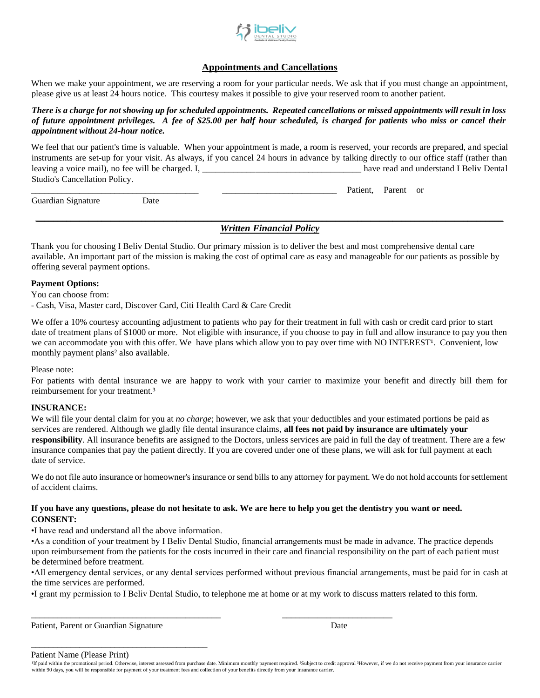

#### **Appointments and Cancellations**

When we make your appointment, we are reserving a room for your particular needs. We ask that if you must change an appointment, please give us at least 24 hours notice. This courtesy makes it possible to give your reserved room to another patient.

#### *There is a charge for not showing up for scheduled appointments. Repeated cancellations or missed appointments will result in loss of future appointment privileges. A fee of \$25.00 per half hour scheduled, is charged for patients who miss or cancel their appointment without 24-hour notice.*

We feel that our patient's time is valuable. When your appointment is made, a room is reserved, your records are prepared, and special instruments are set-up for your visit. As always, if you cancel 24 hours in advance by talking directly to our office staff (rather than leaving a voice mail), no fee will be charged. I, the same of the charged of the charged and understand I Beliv Dental Studio's Cancellation Policy.

Guardian Signature Date

Patient, Parent or

#### *\_\_\_\_\_\_\_\_\_\_\_\_\_\_\_\_\_\_\_\_\_\_\_\_\_\_\_\_\_\_\_\_\_\_\_\_\_\_\_\_\_\_\_\_\_\_\_\_\_\_\_\_\_\_\_\_\_\_\_\_\_\_\_\_\_\_\_\_\_\_\_\_\_\_\_\_\_\_\_\_\_\_\_\_\_\_\_\_\_\_\_\_\_\_\_\_\_\_\_\_\_\_\_\_\_\_ Written Financial Policy*

Thank you for choosing I Beliv Dental Studio. Our primary mission is to deliver the best and most comprehensive dental care available. An important part of the mission is making the cost of optimal care as easy and manageable for our patients as possible by offering several payment options.

#### **Payment Options:**

You can choose from:

- Cash, Visa, Master card, Discover Card, Citi Health Card & Care Credit

We offer a 10% courtesy accounting adjustment to patients who pay for their treatment in full with cash or credit card prior to start date of treatment plans of \$1000 or more. Not eligible with insurance, if you choose to pay in full and allow insurance to pay you then we can accommodate you with this offer. We have plans which allow you to pay over time with NO INTEREST<sup>1</sup>. Convenient, low monthly payment plans² also available.

Please note:

For patients with dental insurance we are happy to work with your carrier to maximize your benefit and directly bill them for reimbursement for your treatment.<sup>3</sup>

#### **INSURANCE:**

We will file your dental claim for you at *no charge*; however, we ask that your deductibles and your estimated portions be paid as services are rendered. Although we gladly file dental insurance claims, **all fees not paid by insurance are ultimately your responsibility**. All insurance benefits are assigned to the Doctors, unless services are paid in full the day of treatment. There are a few insurance companies that pay the patient directly. If you are covered under one of these plans, we will ask for full payment at each date of service.

We do not file auto insurance or homeowner's insurance or send bills to any attorney for payment. We do not hold accounts for settlement of accident claims.

#### **If you have any questions, please do not hesitate to ask. We are here to help you get the dentistry you want or need. CONSENT:**

•I have read and understand all the above information.

•As a condition of your treatment by I Beliv Dental Studio, financial arrangements must be made in advance. The practice depends upon reimbursement from the patients for the costs incurred in their care and financial responsibility on the part of each patient must be determined before treatment.

•All emergency dental services, or any dental services performed without previous financial arrangements, must be paid for in cash at the time services are performed.

•I grant my permission to I Beliv Dental Studio, to telephone me at home or at my work to discuss matters related to this form.

\_\_\_\_\_\_\_\_\_\_\_\_\_\_\_\_\_\_\_\_\_\_\_\_\_\_\_\_\_\_\_\_\_\_\_\_\_\_\_\_\_\_\_ \_\_\_\_\_\_\_\_\_\_\_\_\_\_\_\_\_\_\_\_\_\_\_\_\_

Patient, Parent or Guardian Signature Date Date Date

\_\_\_\_\_\_\_\_\_\_\_\_\_\_\_\_\_\_\_\_\_\_\_\_\_\_\_\_\_\_\_\_\_\_\_\_\_\_\_\_

#### Patient Name (Please Print)

If paid within the promotional period. Otherwise, interest assessed from purchase date. Minimum monthly payment required. <sup>2</sup>Subject to credit approval <sup>3</sup>However, if we do not receive payment from your insurance carrier within 90 days, you will be responsible for payment of your treatment fees and collection of your benefits directly from your insurance carrier.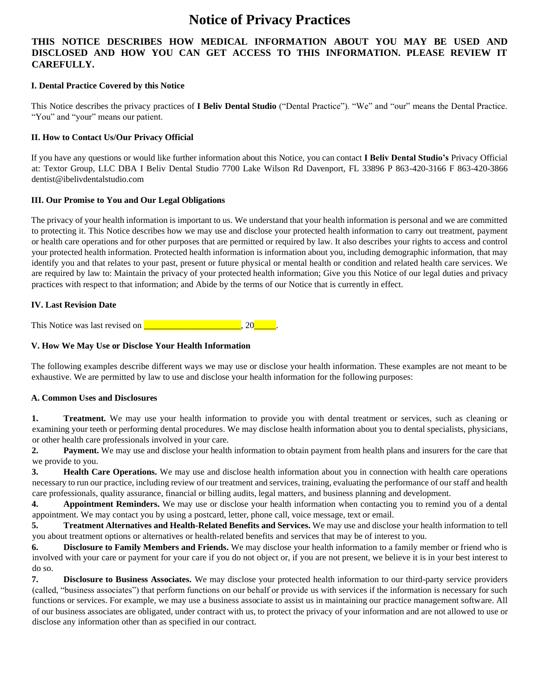### **Notice of Privacy Practices**

#### **THIS NOTICE DESCRIBES HOW MEDICAL INFORMATION ABOUT YOU MAY BE USED AND DISCLOSED AND HOW YOU CAN GET ACCESS TO THIS INFORMATION. PLEASE REVIEW IT CAREFULLY.**

#### **I. Dental Practice Covered by this Notice**

This Notice describes the privacy practices of **I Beliv Dental Studio** ("Dental Practice"). "We" and "our" means the Dental Practice. "You" and "your" means our patient.

#### **II. How to Contact Us/Our Privacy Official**

If you have any questions or would like further information about this Notice, you can contact **I Beliv Dental Studio's** Privacy Official at: Textor Group, LLC DBA I Beliv Dental Studio 7700 Lake Wilson Rd Davenport, FL 33896 P 863-420-3166 F 863-420-3866 dentist@ibelivdentalstudio.com

#### **III. Our Promise to You and Our Legal Obligations**

The privacy of your health information is important to us. We understand that your health information is personal and we are committed to protecting it. This Notice describes how we may use and disclose your protected health information to carry out treatment, payment or health care operations and for other purposes that are permitted or required by law. It also describes your rights to access and control your protected health information. Protected health information is information about you, including demographic information, that may identify you and that relates to your past, present or future physical or mental health or condition and related health care services. We are required by law to: Maintain the privacy of your protected health information; Give you this Notice of our legal duties and privacy practices with respect to that information; and Abide by the terms of our Notice that is currently in effect.

#### **IV. Last Revision Date**

This Notice was last revised on **Quarter** 20, 20

#### **V. How We May Use or Disclose Your Health Information**

The following examples describe different ways we may use or disclose your health information. These examples are not meant to be exhaustive. We are permitted by law to use and disclose your health information for the following purposes:

#### **A. Common Uses and Disclosures**

**1. Treatment.** We may use your health information to provide you with dental treatment or services, such as cleaning or examining your teeth or performing dental procedures. We may disclose health information about you to dental specialists, physicians, or other health care professionals involved in your care.

**2. Payment.** We may use and disclose your health information to obtain payment from health plans and insurers for the care that we provide to you.

**3. Health Care Operations.** We may use and disclose health information about you in connection with health care operations necessary to run our practice, including review of our treatment and services, training, evaluating the performance of our staff and health care professionals, quality assurance, financial or billing audits, legal matters, and business planning and development.

**4. Appointment Reminders.** We may use or disclose your health information when contacting you to remind you of a dental appointment. We may contact you by using a postcard, letter, phone call, voice message, text or email.

**5. Treatment Alternatives and Health-Related Benefits and Services.** We may use and disclose your health information to tell you about treatment options or alternatives or health-related benefits and services that may be of interest to you.

**6. Disclosure to Family Members and Friends.** We may disclose your health information to a family member or friend who is involved with your care or payment for your care if you do not object or, if you are not present, we believe it is in your best interest to do so.

**7. Disclosure to Business Associates.** We may disclose your protected health information to our third-party service providers (called, "business associates") that perform functions on our behalf or provide us with services if the information is necessary for such functions or services. For example, we may use a business associate to assist us in maintaining our practice management software. All of our business associates are obligated, under contract with us, to protect the privacy of your information and are not allowed to use or disclose any information other than as specified in our contract.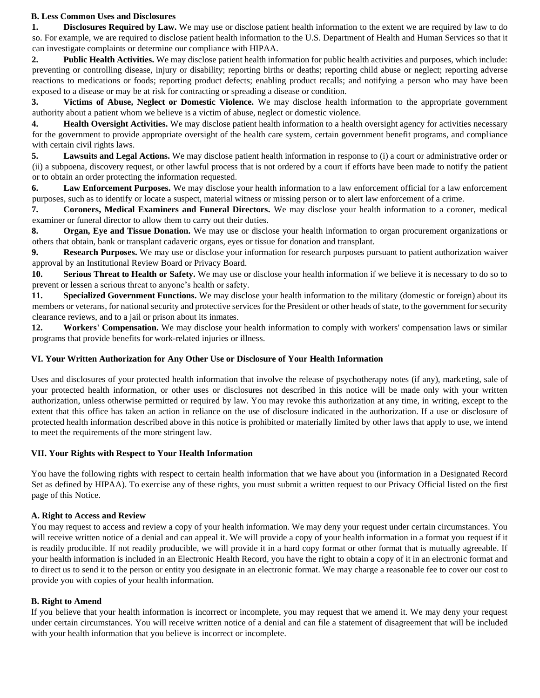#### **B. Less Common Uses and Disclosures**

**1. Disclosures Required by Law.** We may use or disclose patient health information to the extent we are required by law to do so. For example, we are required to disclose patient health information to the U.S. Department of Health and Human Services so that it can investigate complaints or determine our compliance with HIPAA.

**2. Public Health Activities.** We may disclose patient health information for public health activities and purposes, which include: preventing or controlling disease, injury or disability; reporting births or deaths; reporting child abuse or neglect; reporting adverse reactions to medications or foods; reporting product defects; enabling product recalls; and notifying a person who may have been exposed to a disease or may be at risk for contracting or spreading a disease or condition.

**3. Victims of Abuse, Neglect or Domestic Violence.** We may disclose health information to the appropriate government authority about a patient whom we believe is a victim of abuse, neglect or domestic violence.

**4. Health Oversight Activities.** We may disclose patient health information to a health oversight agency for activities necessary for the government to provide appropriate oversight of the health care system, certain government benefit programs, and compliance with certain civil rights laws.

**5. Lawsuits and Legal Actions.** We may disclose patient health information in response to (i) a court or administrative order or (ii) a subpoena, discovery request, or other lawful process that is not ordered by a court if efforts have been made to notify the patient or to obtain an order protecting the information requested.

**6. Law Enforcement Purposes.** We may disclose your health information to a law enforcement official for a law enforcement purposes, such as to identify or locate a suspect, material witness or missing person or to alert law enforcement of a crime.

**7. Coroners, Medical Examiners and Funeral Directors.** We may disclose your health information to a coroner, medical examiner or funeral director to allow them to carry out their duties.

**8. Organ, Eye and Tissue Donation.** We may use or disclose your health information to organ procurement organizations or others that obtain, bank or transplant cadaveric organs, eyes or tissue for donation and transplant.

**9. Research Purposes.** We may use or disclose your information for research purposes pursuant to patient authorization waiver approval by an Institutional Review Board or Privacy Board.

**10. Serious Threat to Health or Safety.** We may use or disclose your health information if we believe it is necessary to do so to prevent or lessen a serious threat to anyone's health or safety.

**11. Specialized Government Functions.** We may disclose your health information to the military (domestic or foreign) about its members or veterans, for national security and protective services for the President or other heads of state, to the government for security clearance reviews, and to a jail or prison about its inmates.

**12. Workers' Compensation.** We may disclose your health information to comply with workers' compensation laws or similar programs that provide benefits for work-related injuries or illness.

#### **VI. Your Written Authorization for Any Other Use or Disclosure of Your Health Information**

Uses and disclosures of your protected health information that involve the release of psychotherapy notes (if any), marketing, sale of your protected health information, or other uses or disclosures not described in this notice will be made only with your written authorization, unless otherwise permitted or required by law. You may revoke this authorization at any time, in writing, except to the extent that this office has taken an action in reliance on the use of disclosure indicated in the authorization. If a use or disclosure of protected health information described above in this notice is prohibited or materially limited by other laws that apply to use, we intend to meet the requirements of the more stringent law.

#### **VII. Your Rights with Respect to Your Health Information**

You have the following rights with respect to certain health information that we have about you (information in a Designated Record Set as defined by HIPAA). To exercise any of these rights, you must submit a written request to our Privacy Official listed on the first page of this Notice.

#### **A. Right to Access and Review**

You may request to access and review a copy of your health information. We may deny your request under certain circumstances. You will receive written notice of a denial and can appeal it. We will provide a copy of your health information in a format you request if it is readily producible. If not readily producible, we will provide it in a hard copy format or other format that is mutually agreeable. If your health information is included in an Electronic Health Record, you have the right to obtain a copy of it in an electronic format and to direct us to send it to the person or entity you designate in an electronic format. We may charge a reasonable fee to cover our cost to provide you with copies of your health information.

#### **B. Right to Amend**

If you believe that your health information is incorrect or incomplete, you may request that we amend it. We may deny your request under certain circumstances. You will receive written notice of a denial and can file a statement of disagreement that will be included with your health information that you believe is incorrect or incomplete.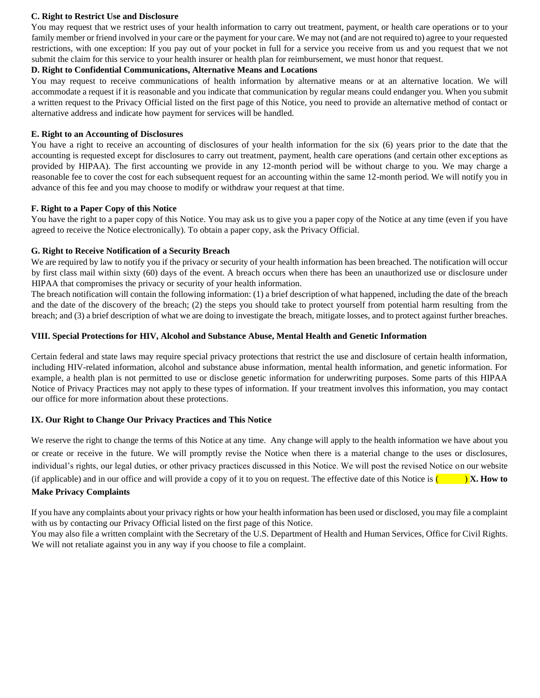#### **C. Right to Restrict Use and Disclosure**

You may request that we restrict uses of your health information to carry out treatment, payment, or health care operations or to your family member or friend involved in your care or the payment for your care. We may not (and are not required to) agree to your requested restrictions, with one exception: If you pay out of your pocket in full for a service you receive from us and you request that we not submit the claim for this service to your health insurer or health plan for reimbursement, we must honor that request.

#### **D. Right to Confidential Communications, Alternative Means and Locations**

You may request to receive communications of health information by alternative means or at an alternative location. We will accommodate a request if it is reasonable and you indicate that communication by regular means could endanger you. When you submit a written request to the Privacy Official listed on the first page of this Notice, you need to provide an alternative method of contact or alternative address and indicate how payment for services will be handled.

#### **E. Right to an Accounting of Disclosures**

You have a right to receive an accounting of disclosures of your health information for the six (6) years prior to the date that the accounting is requested except for disclosures to carry out treatment, payment, health care operations (and certain other exceptions as provided by HIPAA). The first accounting we provide in any 12-month period will be without charge to you. We may charge a reasonable fee to cover the cost for each subsequent request for an accounting within the same 12-month period. We will notify you in advance of this fee and you may choose to modify or withdraw your request at that time.

#### **F. Right to a Paper Copy of this Notice**

You have the right to a paper copy of this Notice. You may ask us to give you a paper copy of the Notice at any time (even if you have agreed to receive the Notice electronically). To obtain a paper copy, ask the Privacy Official.

#### **G. Right to Receive Notification of a Security Breach**

We are required by law to notify you if the privacy or security of your health information has been breached. The notification will occur by first class mail within sixty (60) days of the event. A breach occurs when there has been an unauthorized use or disclosure under HIPAA that compromises the privacy or security of your health information.

The breach notification will contain the following information: (1) a brief description of what happened, including the date of the breach and the date of the discovery of the breach; (2) the steps you should take to protect yourself from potential harm resulting from the breach; and (3) a brief description of what we are doing to investigate the breach, mitigate losses, and to protect against further breaches.

#### **VIII. Special Protections for HIV, Alcohol and Substance Abuse, Mental Health and Genetic Information**

Certain federal and state laws may require special privacy protections that restrict the use and disclosure of certain health information, including HIV-related information, alcohol and substance abuse information, mental health information, and genetic information. For example, a health plan is not permitted to use or disclose genetic information for underwriting purposes. Some parts of this HIPAA Notice of Privacy Practices may not apply to these types of information. If your treatment involves this information, you may contact our office for more information about these protections.

#### **IX. Our Right to Change Our Privacy Practices and This Notice**

We reserve the right to change the terms of this Notice at any time. Any change will apply to the health information we have about you or create or receive in the future. We will promptly revise the Notice when there is a material change to the uses or disclosures, individual's rights, our legal duties, or other privacy practices discussed in this Notice. We will post the revised Notice on our website (if applicable) and in our office and will provide a copy of it to you on request. The effective date of this Notice is ( ) **X. How to** 

### **Make Privacy Complaints**

If you have any complaints about your privacy rights or how your health information has been used or disclosed, you may file a complaint with us by contacting our Privacy Official listed on the first page of this Notice.

You may also file a written complaint with the Secretary of the U.S. Department of Health and Human Services, Office for Civil Rights. We will not retaliate against you in any way if you choose to file a complaint.